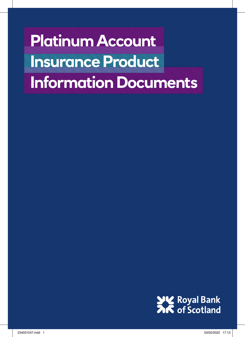**Platinum Account INSURANCE PRODUCT Information Documents**

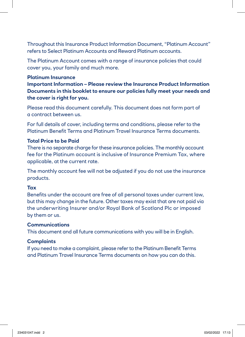Throughout this Insurance Product Information Document, "Platinum Account" refers to Select Platinum Accounts and Reward Platinum accounts.

The Platinum Account comes with a range of insurance policies that could cover you, your family and much more.

#### **Platinum Insurance**

**Important Information – Please review the Insurance Product Information Documents in this booklet to ensure our policies fully meet your needs and the cover is right for you.**

Please read this document carefully. This document does not form part of a contract between us.

For full details of cover, including terms and conditions, please refer to the Platinum Benefit Terms and Platinum Travel Insurance Terms documents.

#### **Total Price to be Paid**

There is no separate charge for these insurance policies. The monthly account fee for the Platinum account is inclusive of Insurance Premium Tax, where applicable, at the current rate.

The monthly account fee will not be adjusted if you do not use the insurance products.

#### **Tax**

Benefits under the account are free of all personal taxes under current law, but this may change in the future. Other taxes may exist that are not paid via the underwriting Insurer and/or Royal Bank of Scotland Plc or imposed by them or us.

#### **Communications**

This document and all future communications with you will be in English.

#### **Complaints**

If you need to make a complaint, please refer to the Platinum Benefit Terms and Platinum Travel Insurance Terms documents on how you can do this.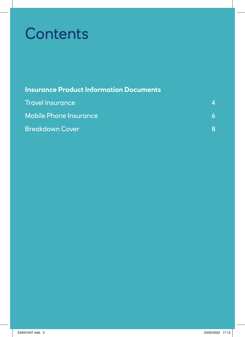# **Contents**

| <b>Insurance Product Information Documents</b> |  |
|------------------------------------------------|--|
| <b>Travel Insurance</b>                        |  |

| <b>Mobile Phone Insurance</b> |  |
|-------------------------------|--|
| <b>Breakdown Cover</b>        |  |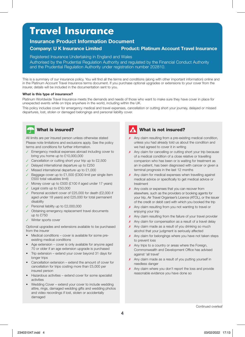### **Travel Insurance**

#### **Insurance Product Information Document Company: U K Insurance Limited Product: Platinum Account Travel Insurance**

Registered Insurance Undertaking in England and Wales

Authorised by the Prudential Regulation Authority and regulated by the Financial Conduct Authority and the Prudential Regulation Authority under registration number 202810.

This is a summary of our insurance policy. You will find all the terms and conditions (along with other important information) online and in the Platinum Account Travel Insurance terms document. If you purchase optional upgrades or extensions to your cover from the insurer, details will be included in the documentation sent to you.

#### **What is this type of insurance?**

Platinum Worldwide Travel Insurance meets the demands and needs of those who want to make sure they have cover in place for unexpected events while on trips anywhere in the world, including within the UK.

This policy includes cover for emergency medical and travel expenses, cancellation or cutting short your journey, delayed or missed departures, lost, stolen or damaged belongings and personal liability cover.



All limits are per insured person unless otherwise stated Please note limitations and exclusions apply. See the policy terms and conditions for further information.

- Emergency medical expenses abroad including cover to bring you home up to £10,000,000
- ✓ Cancellation or cutting short your trip up to £2,500
- ✓ Delayed international departure up to £250
- ✓ Missed international departure up to £1,000
- ✓ Baggage cover up to £1,500 (£300 limit per single item £500 total valuables limit)
- ✓ Money cover up to £500 (£100 if aged under 17 years)
- ✓ Legal costs up to £50,000
- ✓ Personal accident cover of £25,000 for death (£2,000 if aged under 18 years) and £25,000 for total permanent disability
- Personal liability up to £2,000,000
- ✓ Obtaining emergency replacement travel documents up to £750
- ✓ Winter sports cover

Optional upgrades and extensions available to be purchased from the insurer

- Medical conditions cover is available for some preexisting medical conditions
- Age extension cover is only available for anyone aged 70 or older if an age extension upgrade is purchased
- Trip extension extend your cover beyond 31 days for longer trips
- Cancellation extension extend the amount of cover for cancellation for trips costing more than £5,000 per insured person
- Hazardous activities extend cover for some specialist activities
- Wedding Cover extend your cover to include wedding attire, rings, damaged wedding gifts and wedding photos and video recordings if lost, stolen or accidentally damaged

### What is not insured?

- **x** Any claim resulting from a pre-existing medical condition, unless you had already told us about the condition and we had agreed to cover it in writing
- **x** Any claim for cancelling or cutting short your trip because of a medical condition of a close relative or travelling companion who has been or is waiting for treatment as an in-patient, has been diagnosed with cancer or given a terminal prognosis in the last 12 months
- **x** Any claim for medical expenses when travelling against medical advice or specifically to get medical advice or treatment
- **x** Any costs or expenses that you can recover from elsewhere, such as the providers or booking agents for your trip, Air Travel Organiser's Licence (ATOL), or the issuer of the credit or debit card with which you booked the trip
- ✗ Any claim resulting from you not wanting to travel or enjoying your trip
- Any claim resulting from the failure of your travel provider
- **x** Any claim for compensation as a result of a travel delay
- **x** Any claim made as a result of you drinking so much alcohol that your judgment is seriously affected
- X Any claim for belongings where you have not taken steps to prevent loss
- ✗ Any trips to a country or areas where the Foreign, Commonwealth and Development Office has advised against 'all travel'
- ✗ Any claim made as a result of you putting yourself in needless danger
- ✗ Any claim where you don't report the loss and provide reasonable evidence you have done so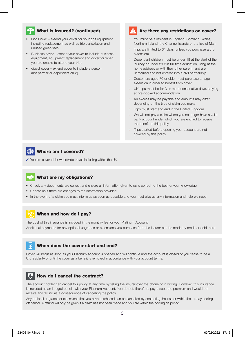#### **What is insured? (continued)**

- Golf Cover extend your cover for your golf equipment including replacement as well as trip cancellation and unused green fees
- Business cover extend your cover to include business equipment, equipment replacement and cover for when you are unable to attend your trips
- Guest cover extend cover to include a person (not partner or dependent child)

#### Are there any restrictions on cover?

- **!** You must be a resident in England, Scotland, Wales, Northern Ireland, the Channel Islands or the Isle of Man
- **!** Trips are limited to 31 days (unless you purchase a trip extension)
- **!** Dependent children must be under 18 at the start of the journey or under 23 if in full time education, living at the home address or with their other parent, and are unmarried and not entered into a civil partnership
- **!** Customers aged 70 or older must purchase an age extension in order to benefit from cover
- **!** UK trips must be for 3 or more consecutive days, staying at pre-booked accommodation
- **!** An excess may be payable and amounts may differ depending on the type of claim you make
- **!** Trips must start and end in the United Kingdom
- **!** We will not pay a claim where you no longer have a valid bank account under which you are entitled to receive the benefit of this policy
- **!** Trips started before opening your account are not covered by this policy

#### Where am I covered?

✓ You are covered for worldwide travel, including within the UK

#### What are my obligations?

- Check any documents are correct and ensure all information given to us is correct to the best of your knowledge
- Update us if there are changes to the information provided
- In the event of a claim you must inform us as soon as possible and you must give us any information and help we need

#### When and how do I pay?

The cost of this insurance is included in the monthly fee for your Platinum Account.

Additional payments for any optional upgrades or extensions you purchase from the insurer can be made by credit or debit card.

#### When does the cover start and end?

Cover will begin as soon as your Platinum Account is opened and will continue until the account is closed or you cease to be a UK resident– or until the cover as a benefit is removed in accordance with your account terms.

#### How do I cancel the contract?

The account holder can cancel this policy at any time by telling the insurer over the phone or in writing. However, this insurance is included as an integral benefit with your Platinum Account. You do not, therefore, pay a separate premium and would not receive any refund as a consequence of cancelling the policy.

Any optional upgrades or extensions that you have purchased can be cancelled by contacting the insurer within the 14 day cooling off period. A refund will only be given if a claim has not been made and you are within the cooling off period.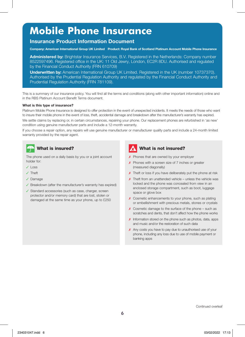## **Mobile Phone Insurance**

#### **Insurance Product Information Document**

**Company: American International Group UK Limited Product: Royal Bank of Scotland Platinum Account Mobile Phone Insurance**

**Administered by:** Brightstar Insurance Services, B.V. Registered in the Netherlands: Company number 8522597496. Registered office in the UK: 11 Old Jewry, London, EC2R 8DU. Authorised and regulated by the Financial Conduct Authority (FRN 610709)

**Underwritten by:** American International Group UK Limited. Registered in the UK (number 10737370). Authorised by the Prudential Regulation Authority and regulated by the Financial Conduct Authority and Prudential Regulation Authority (FRN 781109).

This is a summary of our insurance policy. You will find all the terms and conditions (along with other important information) online and in the RBS Platinum Account Benefit Terms document.

#### **What is this type of insurance?**

Platinum Mobile Phone Insurance is designed to offer protection in the event of unexpected incidents. It meets the needs of those who want to insure their mobile phone in the event of loss, theft, accidental damage and breakdown after the manufacturer's warranty has expired. We settle claims by replacing or, in certain circumstances, repairing your phone. Our replacement phones are refurbished in 'as new' condition using genuine manufacturer parts and include a 12-month warranty.

If you choose a repair option, any repairs will use genuine manufacturer or manufacturer quality parts and include a 24-month limited warranty provided by the repair agent.

#### What is insured?

The phone used on a daily basis by you or a joint account holder for:

- $J \cap$ ss
- ✓ Theft
- ✓ Damage
- ✓ Breakdown (after the manufacturer's warranty has expired)
- ✓ Standard accessories (such as case, charger, screen protector and/or memory card) that are lost, stolen or damaged at the same time as your phone, up to £250

#### What is not insured?

- ✗ Phones that are owned by your employer
- ✗ Phones with a screen size of 7 inches or greater (measured diagonally)
- X Theft or loss if you have deliberately put the phone at risk
- $\boldsymbol{X}$  Theft from an unattended vehicle unless the vehicle was locked and the phone was concealed from view in an enclosed storage compartment, such as boot, luggage space or glove box
- ✗ Cosmetic enhancements to your phone, such as plating or embellishment with precious metals, stones or crystals
- $\boldsymbol{\chi}$  Cosmetic damage to the surface of the phone such as scratches and dents, that don't affect how the phone works
- **X** Information stored on the phone such as photos, data, apps and music and/or the restoration of such data
- X Any costs you have to pay due to unauthorised use of your phone, including any loss due to use of mobile payment or banking apps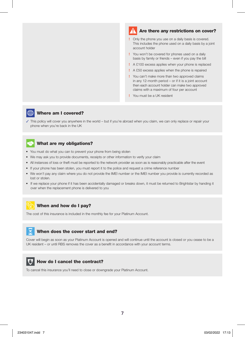#### Are there any restrictions on cover?

- **!** Only the phone you use on a daily basis is covered. This includes the phone used on a daily basis by a joint account holder
- **!** You won't be covered for phones used on a daily basis by family or friends – even if you pay the bill
- **!** A £100 excess applies when your phone is replaced
- **!** A £50 excess applies when the phone is repaired
- **!** You can't make more than two approved claims in any 12-month period – or if it is a joint account then each account holder can make two approved claims with a maximum of four per account
- **!** You must be a UK resident

#### $#$ Where am I covered?

✓ This policy will cover you anywhere in the world – but if you're abroad when you claim, we can only replace or repair your phone when you're back in the UK

#### What are my obligations?

- You must do what you can to prevent your phone from being stolen
- We may ask you to provide documents, receipts or other information to verify your claim
- All instances of loss or theft must be reported to the network provider as soon as is reasonably practicable after the event
- If your phone has been stolen, you must report it to the police and request a crime reference number
- We won't pay any claim where you do not provide the IMEI number or the IMEI number you provide is currently recorded as lost or stolen.
- If we replace your phone if it has been accidentally damaged or breaks down, it must be returned to Brightstar by handing it over when the replacement phone is delivered to you

#### When and how do I pay?

The cost of this insurance is included in the monthly fee for your Platinum Account.

#### When does the cover start and end?

Cover will begin as soon as your Platinum Account is opened and will continue until the account is closed or you cease to be a UK resident – or until RBS removes the cover as a benefit in accordance with your account terms.



#### How do I cancel the contract?

To cancel this insurance you'll need to close or downgrade your Platinum Account.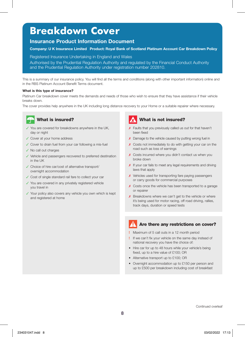## **Breakdown Cover**

#### **Insurance Product Information Document**

#### **Company: U K Insurance Limited Product: Royal Bank of Scotland Platinum Account Car Breakdown Policy**

Registered Insurance Undertaking in England and Wales

Authorised by the Prudential Regulation Authority and regulated by the Financial Conduct Authority and the Prudential Regulation Authority under registration number 202810.

This is a summary of our insurance policy. You will find all the terms and conditions (along with other important information) online and in the RBS Platinum Account Benefit Terms document.

#### **What is this type of insurance?**

Platinum Car breakdown cover meets the demands and needs of those who wish to ensure that they have assistance if their vehicle breaks down.

The cover provides help anywhere in the UK including long distance recovery to your Home or a suitable repairer where necessary.

### What is insured?

- ✓ You are covered for breakdowns anywhere in the UK,
- day or night
- ✓ Cover at your home address
- ✓ Cover to drain fuel from your car following a mis-fuel
- ✓ No call out charges
- ✓ Vehicle and passengers recovered to preferred destination in the UK
- ✓ Choice of hire car/cost of alternative transport/ overnight accommodation
- ✓ Cost of single standard rail fare to collect your car
- ✓ You are covered in any privately registered vehicle you travel in
- ✓ Your policy also covers any vehicle you own which is kept and registered at home

#### What is not insured?

- ✗ Faults that you previously called us out for that haven't been fixed
- X Damage to the vehicle caused by putting wrong fuel in
- ✗ Costs not immediately to do with getting your car on the road such as loss of earnings
- ✗ Costs incurred where you didn't contact us when you broke down
- X If your car fails to meet any legal requirements and driving laws that apply
- ✗ Vehicles used for transporting fare paying passengers or carry goods for commercial purposes
- X Costs once the vehicle has been transported to a garage or repairer
- X Breakdowns where we can't get to the vehicle or where it's being used for motor racing, off road driving, rallies, track days, duration or speed tests

#### Are there any restrictions on cover?

- **!** Maximum of 5 call outs in a 12 month period
- **!** If we can't fix your vehicle on the same day instead of national recovery you have the choice of:
- Hire car for up to 48 hours while your vehicle's being fixed, up to a hire value of £100; OR
- Alternative transport up to £100; OR
- Overnight accommodation up to £150 per person and up to £500 per breakdown including cost of breakfast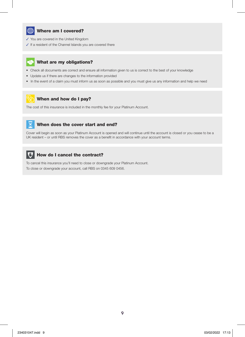

#### Where am I covered?

- ✓ You are covered in the United Kingdom
- ✓ If a resident of the Channel Islands you are covered there

#### What are my obligations?

- Check all documents are correct and ensure all information given to us is correct to the best of your knowledge
- Update us if there are changes to the information provided
- In the event of a claim you must inform us as soon as possible and you must give us any information and help we need

#### When and how do I pay?

The cost of this insurance is included in the monthly fee for your Platinum Account.

### $\mathcal{R}$

#### When does the cover start and end?

Cover will begin as soon as your Platinum Account is opened and will continue until the account is closed or you cease to be a UK resident – or until RBS removes the cover as a benefit in accordance with your account terms.



#### How do I cancel the contract?

To cancel this insurance you'll need to close or downgrade your Platinum Account. To close or downgrade your account, call RBS on 0345 609 0456.